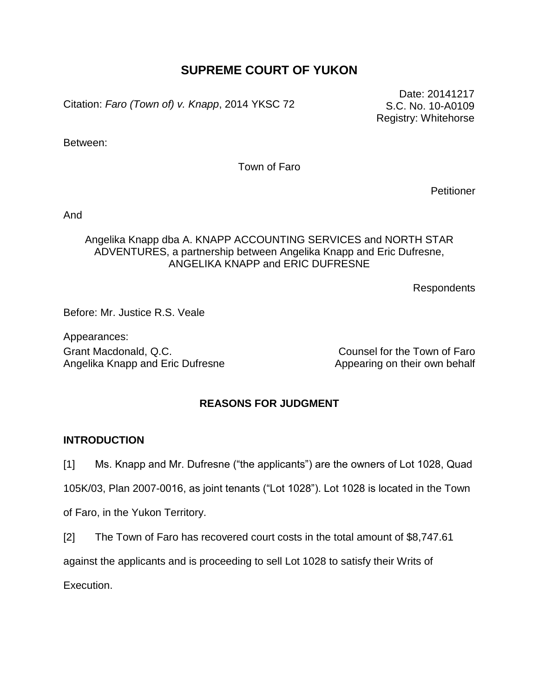# **SUPREME COURT OF YUKON**

Citation: *Faro (Town of) v. Knapp*, 2014 YKSC 72

Date: 20141217 S.C. No. 10-A0109 Registry: Whitehorse

Between:

Town of Faro

**Petitioner** 

And

### Angelika Knapp dba A. KNAPP ACCOUNTING SERVICES and NORTH STAR ADVENTURES, a partnership between Angelika Knapp and Eric Dufresne, ANGELIKA KNAPP and ERIC DUFRESNE

Respondents

Before: Mr. Justice R.S. Veale

Appearances: Grant Macdonald, Q.C. Counsel for the Town of Faro Angelika Knapp and Eric Dufresne Appearing on their own behalf

### **REASONS FOR JUDGMENT**

### **INTRODUCTION**

[1] Ms. Knapp and Mr. Dufresne ("the applicants") are the owners of Lot 1028, Quad

105K/03, Plan 2007-0016, as joint tenants ("Lot 1028"). Lot 1028 is located in the Town

of Faro, in the Yukon Territory.

[2] The Town of Faro has recovered court costs in the total amount of \$8,747.61

against the applicants and is proceeding to sell Lot 1028 to satisfy their Writs of

Execution.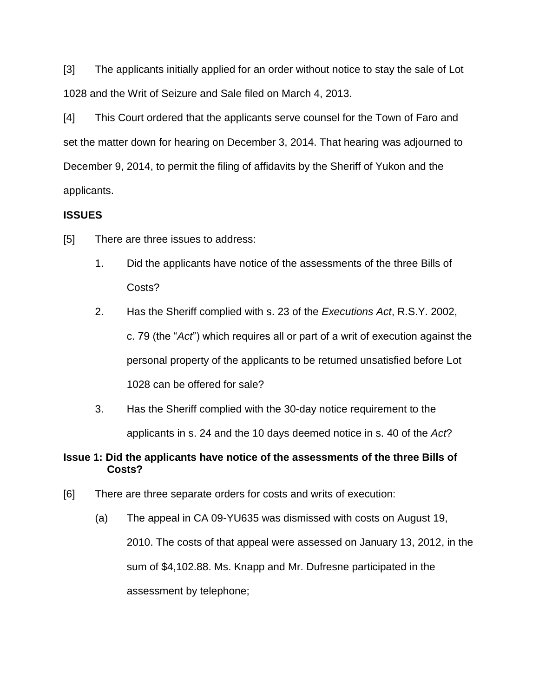[3] The applicants initially applied for an order without notice to stay the sale of Lot 1028 and the Writ of Seizure and Sale filed on March 4, 2013.

[4] This Court ordered that the applicants serve counsel for the Town of Faro and set the matter down for hearing on December 3, 2014. That hearing was adjourned to December 9, 2014, to permit the filing of affidavits by the Sheriff of Yukon and the applicants.

# **ISSUES**

- [5] There are three issues to address:
	- 1. Did the applicants have notice of the assessments of the three Bills of Costs?
	- 2. Has the Sheriff complied with s. 23 of the *Executions Act*, R.S.Y. 2002, c. 79 (the "*Act*") which requires all or part of a writ of execution against the personal property of the applicants to be returned unsatisfied before Lot 1028 can be offered for sale?
	- 3. Has the Sheriff complied with the 30-day notice requirement to the applicants in s. 24 and the 10 days deemed notice in s. 40 of the *Act*?

# **Issue 1: Did the applicants have notice of the assessments of the three Bills of Costs?**

- [6] There are three separate orders for costs and writs of execution:
	- (a) The appeal in CA 09-YU635 was dismissed with costs on August 19, 2010. The costs of that appeal were assessed on January 13, 2012, in the sum of \$4,102.88. Ms. Knapp and Mr. Dufresne participated in the assessment by telephone;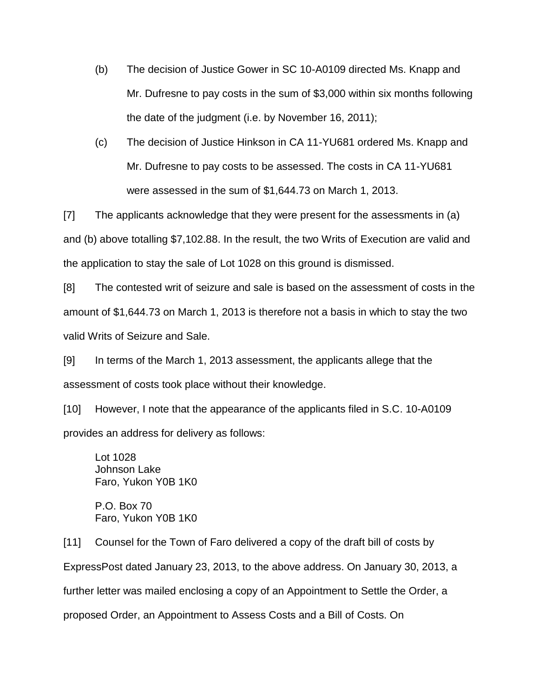- (b) The decision of Justice Gower in SC 10-A0109 directed Ms. Knapp and Mr. Dufresne to pay costs in the sum of \$3,000 within six months following the date of the judgment (i.e. by November 16, 2011);
- (c) The decision of Justice Hinkson in CA 11-YU681 ordered Ms. Knapp and Mr. Dufresne to pay costs to be assessed. The costs in CA 11-YU681 were assessed in the sum of \$1,644.73 on March 1, 2013.

[7] The applicants acknowledge that they were present for the assessments in (a) and (b) above totalling \$7,102.88. In the result, the two Writs of Execution are valid and the application to stay the sale of Lot 1028 on this ground is dismissed.

[8] The contested writ of seizure and sale is based on the assessment of costs in the amount of \$1,644.73 on March 1, 2013 is therefore not a basis in which to stay the two valid Writs of Seizure and Sale.

[9] In terms of the March 1, 2013 assessment, the applicants allege that the assessment of costs took place without their knowledge.

[10] However, I note that the appearance of the applicants filed in S.C. 10-A0109 provides an address for delivery as follows:

Lot 1028 Johnson Lake Faro, Yukon Y0B 1K0

P.O. Box 70 Faro, Yukon Y0B 1K0

[11] Counsel for the Town of Faro delivered a copy of the draft bill of costs by ExpressPost dated January 23, 2013, to the above address. On January 30, 2013, a further letter was mailed enclosing a copy of an Appointment to Settle the Order, a proposed Order, an Appointment to Assess Costs and a Bill of Costs. On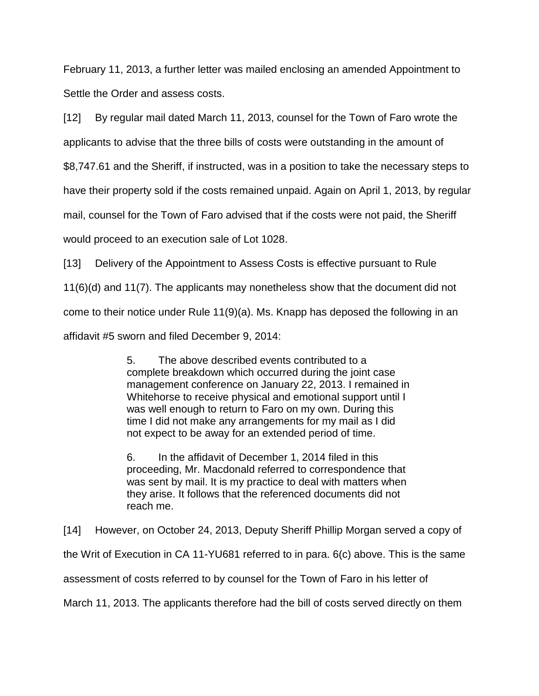February 11, 2013, a further letter was mailed enclosing an amended Appointment to Settle the Order and assess costs.

[12] By regular mail dated March 11, 2013, counsel for the Town of Faro wrote the applicants to advise that the three bills of costs were outstanding in the amount of

\$8,747.61 and the Sheriff, if instructed, was in a position to take the necessary steps to

have their property sold if the costs remained unpaid. Again on April 1, 2013, by regular

mail, counsel for the Town of Faro advised that if the costs were not paid, the Sheriff

would proceed to an execution sale of Lot 1028.

[13] Delivery of the Appointment to Assess Costs is effective pursuant to Rule

11(6)(d) and 11(7). The applicants may nonetheless show that the document did not

come to their notice under Rule 11(9)(a). Ms. Knapp has deposed the following in an

affidavit #5 sworn and filed December 9, 2014:

5. The above described events contributed to a complete breakdown which occurred during the joint case management conference on January 22, 2013. I remained in Whitehorse to receive physical and emotional support until I was well enough to return to Faro on my own. During this time I did not make any arrangements for my mail as I did not expect to be away for an extended period of time.

6. In the affidavit of December 1, 2014 filed in this proceeding, Mr. Macdonald referred to correspondence that was sent by mail. It is my practice to deal with matters when they arise. It follows that the referenced documents did not reach me.

[14] However, on October 24, 2013, Deputy Sheriff Phillip Morgan served a copy of

the Writ of Execution in CA 11-YU681 referred to in para. 6(c) above. This is the same

assessment of costs referred to by counsel for the Town of Faro in his letter of

March 11, 2013. The applicants therefore had the bill of costs served directly on them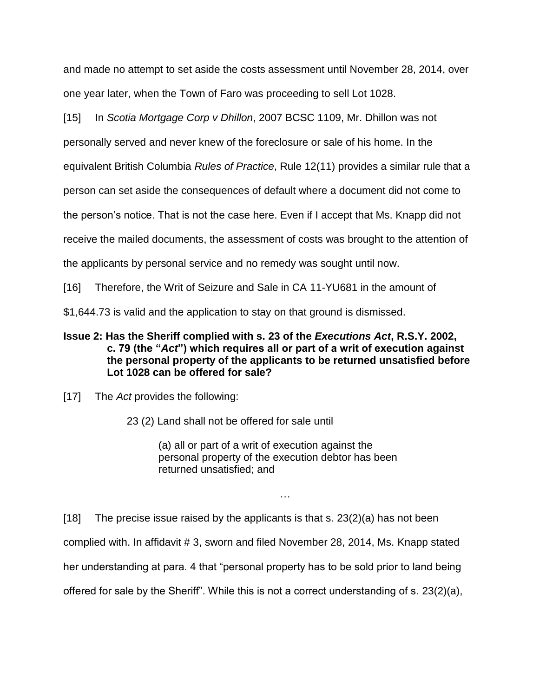and made no attempt to set aside the costs assessment until November 28, 2014, over one year later, when the Town of Faro was proceeding to sell Lot 1028.

[15] In *Scotia Mortgage Corp v Dhillon*, 2007 BCSC 1109, Mr. Dhillon was not

personally served and never knew of the foreclosure or sale of his home. In the

equivalent British Columbia *Rules of Practice*, Rule 12(11) provides a similar rule that a

person can set aside the consequences of default where a document did not come to

the person's notice. That is not the case here. Even if I accept that Ms. Knapp did not

receive the mailed documents, the assessment of costs was brought to the attention of

the applicants by personal service and no remedy was sought until now.

[16] Therefore, the Writ of Seizure and Sale in CA 11-YU681 in the amount of

\$1,644.73 is valid and the application to stay on that ground is dismissed.

## **Issue 2: Has the Sheriff complied with s. 23 of the** *Executions Act***, R.S.Y. 2002, c. 79 (the "***Act***") which requires all or part of a writ of execution against the personal property of the applicants to be returned unsatisfied before Lot 1028 can be offered for sale?**

[17] The *Act* provides the following:

23 (2) Land shall not be offered for sale until

(a) all or part of a writ of execution against the personal property of the execution debtor has been returned unsatisfied; and

…

[18] The precise issue raised by the applicants is that s. 23(2)(a) has not been complied with. In affidavit # 3, sworn and filed November 28, 2014, Ms. Knapp stated her understanding at para. 4 that "personal property has to be sold prior to land being offered for sale by the Sheriff". While this is not a correct understanding of s. 23(2)(a),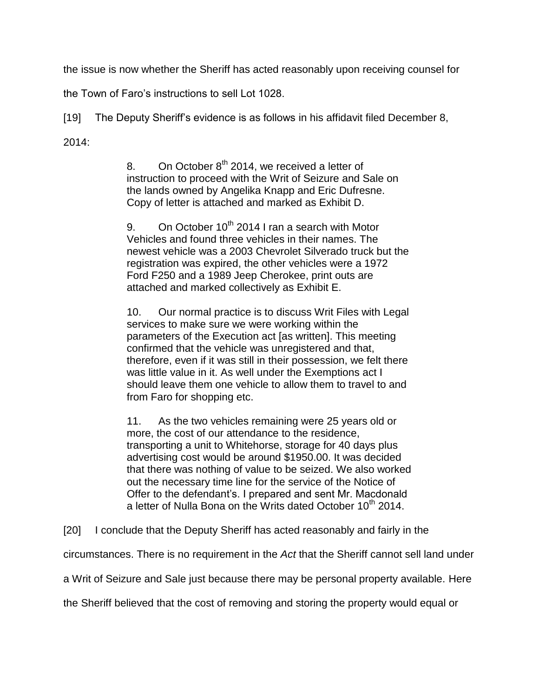the issue is now whether the Sheriff has acted reasonably upon receiving counsel for

the Town of Faro's instructions to sell Lot 1028.

[19] The Deputy Sheriff's evidence is as follows in his affidavit filed December 8,

2014:

8. On October  $8<sup>th</sup>$  2014, we received a letter of instruction to proceed with the Writ of Seizure and Sale on the lands owned by Angelika Knapp and Eric Dufresne. Copy of letter is attached and marked as Exhibit D.

9. On October  $10^{th}$  2014 I ran a search with Motor Vehicles and found three vehicles in their names. The newest vehicle was a 2003 Chevrolet Silverado truck but the registration was expired, the other vehicles were a 1972 Ford F250 and a 1989 Jeep Cherokee, print outs are attached and marked collectively as Exhibit E.

10. Our normal practice is to discuss Writ Files with Legal services to make sure we were working within the parameters of the Execution act [as written]. This meeting confirmed that the vehicle was unregistered and that, therefore, even if it was still in their possession, we felt there was little value in it. As well under the Exemptions act I should leave them one vehicle to allow them to travel to and from Faro for shopping etc.

11. As the two vehicles remaining were 25 years old or more, the cost of our attendance to the residence, transporting a unit to Whitehorse, storage for 40 days plus advertising cost would be around \$1950.00. It was decided that there was nothing of value to be seized. We also worked out the necessary time line for the service of the Notice of Offer to the defendant's. I prepared and sent Mr. Macdonald a letter of Nulla Bona on the Writs dated October 10<sup>th</sup> 2014.

[20] I conclude that the Deputy Sheriff has acted reasonably and fairly in the

circumstances. There is no requirement in the *Act* that the Sheriff cannot sell land under

a Writ of Seizure and Sale just because there may be personal property available. Here

the Sheriff believed that the cost of removing and storing the property would equal or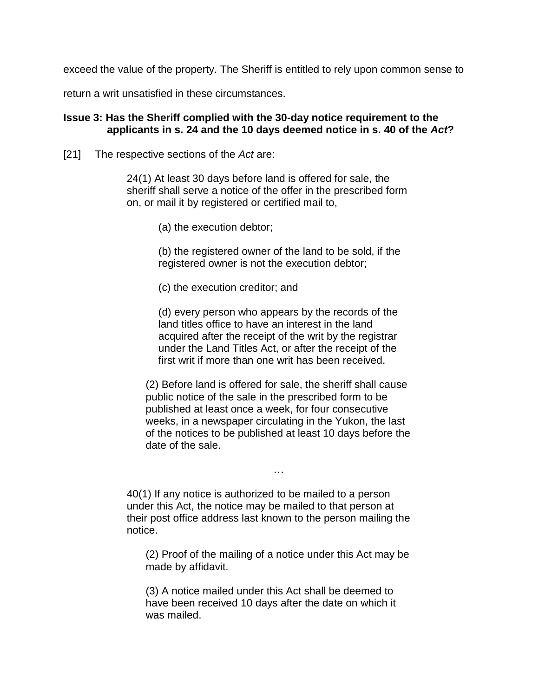exceed the value of the property. The Sheriff is entitled to rely upon common sense to

return a writ unsatisfied in these circumstances.

#### **Issue 3: Has the Sheriff complied with the 30-day notice requirement to the applicants in s. 24 and the 10 days deemed notice in s. 40 of the** *Act***?**

[21] The respective sections of the *Act* are:

24(1) At least 30 days before land is offered for sale, the sheriff shall serve a notice of the offer in the prescribed form on, or mail it by registered or certified mail to,

(a) the execution debtor;

(b) the registered owner of the land to be sold, if the registered owner is not the execution debtor;

(c) the execution creditor; and

(d) every person who appears by the records of the land titles office to have an interest in the land acquired after the receipt of the writ by the registrar under the Land Titles Act, or after the receipt of the first writ if more than one writ has been received.

(2) Before land is offered for sale, the sheriff shall cause public notice of the sale in the prescribed form to be published at least once a week, for four consecutive weeks, in a newspaper circulating in the Yukon, the last of the notices to be published at least 10 days before the date of the sale.

…

40(1) If any notice is authorized to be mailed to a person under this Act, the notice may be mailed to that person at their post office address last known to the person mailing the notice.

(2) Proof of the mailing of a notice under this Act may be made by affidavit.

(3) A notice mailed under this Act shall be deemed to have been received 10 days after the date on which it was mailed.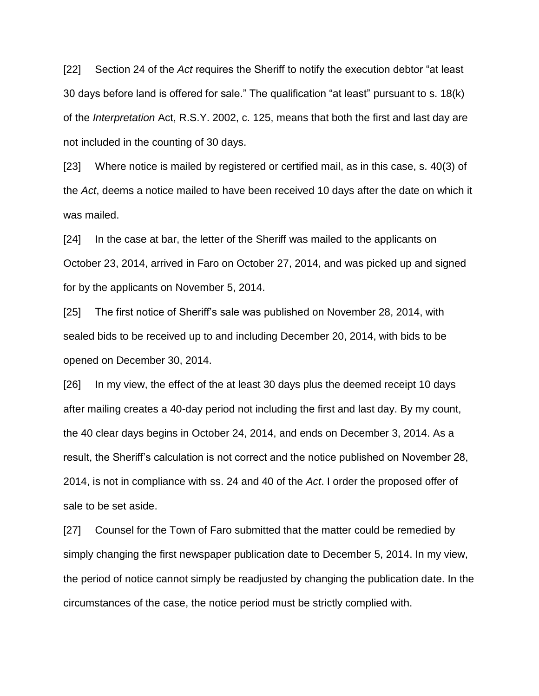[22] Section 24 of the *Act* requires the Sheriff to notify the execution debtor "at least 30 days before land is offered for sale." The qualification "at least" pursuant to s. 18(k) of the *Interpretation* Act, R.S.Y. 2002, c. 125, means that both the first and last day are not included in the counting of 30 days.

[23] Where notice is mailed by registered or certified mail, as in this case, s. 40(3) of the *Act*, deems a notice mailed to have been received 10 days after the date on which it was mailed.

[24] In the case at bar, the letter of the Sheriff was mailed to the applicants on October 23, 2014, arrived in Faro on October 27, 2014, and was picked up and signed for by the applicants on November 5, 2014.

[25] The first notice of Sheriff's sale was published on November 28, 2014, with sealed bids to be received up to and including December 20, 2014, with bids to be opened on December 30, 2014.

[26] In my view, the effect of the at least 30 days plus the deemed receipt 10 days after mailing creates a 40-day period not including the first and last day. By my count, the 40 clear days begins in October 24, 2014, and ends on December 3, 2014. As a result, the Sheriff's calculation is not correct and the notice published on November 28, 2014, is not in compliance with ss. 24 and 40 of the *Act*. I order the proposed offer of sale to be set aside.

[27] Counsel for the Town of Faro submitted that the matter could be remedied by simply changing the first newspaper publication date to December 5, 2014. In my view, the period of notice cannot simply be readjusted by changing the publication date. In the circumstances of the case, the notice period must be strictly complied with.